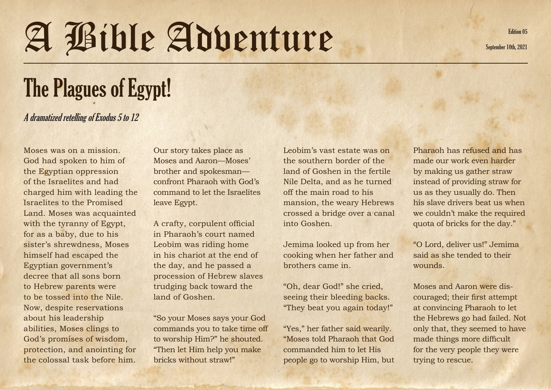## A Bible Adventure September 10th, 2021

## The Plagues of Egypt!

## A dramatized retelling of Exodus 5 to 12

Moses was on a mission. God had spoken to him of the Egyptian oppression of the Israelites and had charged him with leading the Israelites to the Promised Land. Moses was acquainted with the tyranny of Egypt, for as a baby, due to his sister's shrewdness, Moses himself had escaped the Egyptian government's decree that all sons born to Hebrew parents were to be tossed into the Nile. Now, despite reservations about his leadership abilities, Moses clings to God's promises of wisdom, protection, and anointing for the colossal task before him.

Our story takes place as Moses and Aaron—Moses' brother and spokesman confront Pharaoh with God's command to let the Israelites leave Egypt.

A crafty, corpulent official in Pharaoh's court named Leobim was riding home in his chariot at the end of the day, and he passed a procession of Hebrew slaves trudging back toward the land of Goshen.

"So your Moses says your God commands you to take time off to worship Him?" he shouted. "Then let Him help you make bricks without straw!"

Leobim's vast estate was on the southern border of the land of Goshen in the fertile Nile Delta, and as he turned off the main road to his mansion, the weary Hebrews crossed a bridge over a canal into Goshen.

Jemima looked up from her cooking when her father and brothers came in.

"Oh, dear God!" she cried, seeing their bleeding backs. "They beat you again today!"

"Yes," her father said wearily. "Moses told Pharaoh that God commanded him to let His people go to worship Him, but Pharaoh has refused and has made our work even harder by making us gather straw instead of providing straw for us as they usually do. Then his slave drivers beat us when we couldn't make the required quota of bricks for the day."

"O Lord, deliver us!" Jemima said as she tended to their wounds.

Moses and Aaron were discouraged; their first attempt at convincing Pharaoh to let the Hebrews go had failed. Not only that, they seemed to have made things more difficult for the very people they were trying to rescue.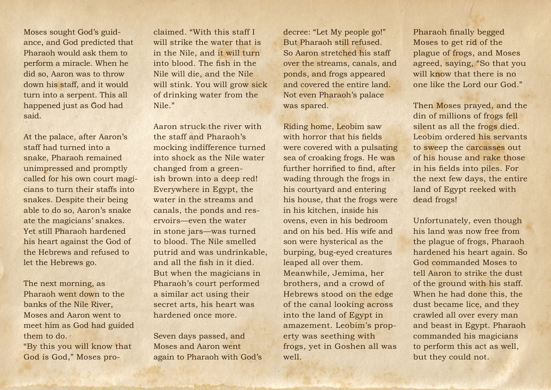Moses sought God's guidance, and God predicted that Pharaoh would ask them to perform a miracle. When he did so, Aaron was to throw down his staff, and it would turn into a serpent. This all happened just as God had said.

At the palace, after Aaron's staff had turned into a snake, Pharaoh remained unimpressed and promptly called for his own court magicians to turn their staffs into snakes. Despite their being able to do so, Aaron's snake ate the magicians' snakes. Yet still Pharaoh hardened his heart against the God of the Hebrews and refused to let the Hebrews go.

The next morning, as Pharaoh went down to the banks of the Nile River, Moses and Aaron went to meet him as God had guided them to do.

"By this you will know that God is God," Moses proclaimed. "With this staff I will strike the water that is in the Nile, and it will turn into blood. The fish in the Nile will die, and the Nile will stink. You will grow sick of drinking water from the Nile."

Aaron struck the river with the staff and Pharaoh's mocking indifference turned into shock as the Nile water changed from a greenish brown into a deep red! Everywhere in Egypt, the water in the streams and canals, the ponds and reservoirs—even the water in stone jars—was turned to blood. The Nile smelled putrid and was undrinkable, and all the fish in it died. But when the magicians in Pharaoh's court performed a similar act using their secret arts, his heart was hardened once more.

Seven days passed, and Moses and Aaron went again to Pharaoh with God's decree: "Let My people go!" But Pharaoh still refused. So Aaron stretched his staff over the streams, canals, and ponds, and frogs appeared and covered the entire land. Not even Pharaoh's palace was spared.

Riding home, Leobim saw with horror that his fields were covered with a pulsating sea of croaking frogs. He was further horrified to find, after wading through the frogs in his courtyard and entering his house, that the frogs were in his kitchen, inside his ovens, even in his bedroom and on his bed. His wife and son were hysterical as the burping, bug-eyed creatures leaped all over them. Meanwhile, Jemima, her brothers, and a crowd of Hebrews stood on the edge of the canal looking across into the land of Egypt in amazement. Leobim's property was seething with frogs, yet in Goshen all was well.

Pharaoh finally begged Moses to get rid of the plague of frogs, and Moses agreed, saying, "So that you will know that there is no one like the Lord our God."

Then Moses prayed, and the din of millions of frogs fell silent as all the frogs died. Leobim ordered his servants to sweep the carcasses out of his house and rake those in his fields into piles. For the next few days, the entire land of Egypt reeked with dead frogs!

Unfortunately, even though his land was now free from the plague of frogs, Pharaoh hardened his heart again. So God commanded Moses to tell Aaron to strike the dust of the ground with his staff. When he had done this, the dust became lice, and they crawled all over every man and beast in Egypt. Pharaoh commanded his magicians to perform this act as well, but they could not.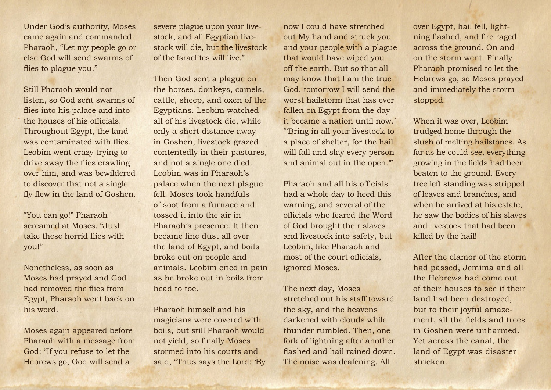Under God's authority, Moses came again and commanded Pharaoh, "Let my people go or else God will send swarms of flies to plague you."

Still Pharaoh would not listen, so God sent swarms of flies into his palace and into the houses of his officials. Throughout Egypt, the land was contaminated with flies. Leobim went crazy trying to drive away the flies crawling over him, and was bewildered to discover that not a single fly flew in the land of Goshen.

"You can go!" Pharaoh screamed at Moses. "Just take these horrid flies with you!"

Nonetheless, as soon as Moses had prayed and God had removed the flies from Egypt, Pharaoh went back on his word.

Moses again appeared before Pharaoh with a message from God: "If you refuse to let the Hebrews go, God will send a

severe plague upon your livestock, and all Egyptian livestock will die, but the livestock of the Israelites will live."

Then God sent a plague on the horses, donkeys, camels, cattle, sheep, and oxen of the Egyptians. Leobim watched all of his livestock die, while only a short distance away in Goshen, livestock grazed contentedly in their pastures, and not a single one died. Leobim was in Pharaoh's palace when the next plague fell. Moses took handfuls of soot from a furnace and tossed it into the air in Pharaoh's presence. It then became fine dust all over the land of Egypt, and boils broke out on people and animals. Leobim cried in pain as he broke out in boils from head to toe.

Pharaoh himself and his magicians were covered with boils, but still Pharaoh would not yield, so finally Moses stormed into his courts and said, "Thus says the Lord: 'By now I could have stretched out My hand and struck you and your people with a plague that would have wiped you off the earth. But so that all may know that I am the true God, tomorrow I will send the worst hailstorm that has ever fallen on Egypt from the day it became a nation until now.' "'Bring in all your livestock to a place of shelter, for the hail will fall and slay every person and animal out in the open.'"

Pharaoh and all his officials had a whole day to heed this warning, and several of the officials who feared the Word of God brought their slaves and livestock into safety, but Leobim, like Pharaoh and most of the court officials, ignored Moses.

The next day, Moses stretched out his staff toward the sky, and the heavens darkened with clouds while thunder rumbled. Then, one fork of lightning after another flashed and hail rained down. The noise was deafening. All

over Egypt, hail fell, lightning flashed, and fire raged across the ground. On and on the storm went. Finally Pharaoh promised to let the Hebrews go, so Moses prayed and immediately the storm stopped.

When it was over, Leobim trudged home through the slush of melting hailstones. As far as he could see, everything growing in the fields had been beaten to the ground. Every tree left standing was stripped of leaves and branches, and when he arrived at his estate. he saw the bodies of his slaves and livestock that had been killed by the hail!

After the clamor of the storm had passed, Jemima and all the Hebrews had come out of their houses to see if their land had been destroyed, but to their joyful amazement, all the fields and trees in Goshen were unharmed. Yet across the canal, the land of Egypt was disaster stricken.